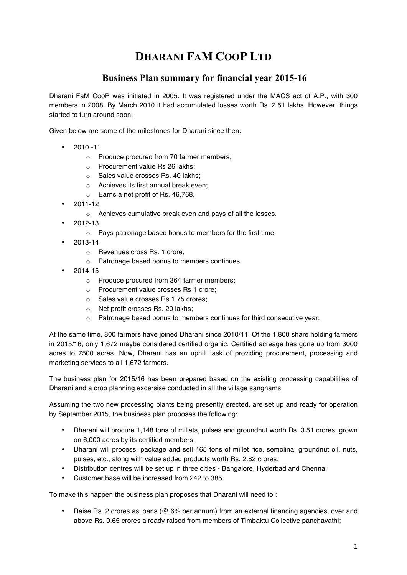## **DHARANI FAM COOP LTD**

## **Business Plan summary for financial year 2015-16**

Dharani FaM CooP was initiated in 2005. It was registered under the MACS act of A.P., with 300 members in 2008. By March 2010 it had accumulated losses worth Rs. 2.51 lakhs. However, things started to turn around soon.

Given below are some of the milestones for Dharani since then:

- $2010 11$ 
	- o Produce procured from 70 farmer members;
	- o Procurement value Rs 26 lakhs;
	- o Sales value crosses Rs. 40 lakhs;
	- o Achieves its first annual break even;
	- o Earns a net profit of Rs. 46,768.
- $2011 12$ 
	- o Achieves cumulative break even and pays of all the losses.
- 2012-13
	- o Pays patronage based bonus to members for the first time.
- 2013-14
	- o Revenues cross Rs. 1 crore;
	- o Patronage based bonus to members continues.
- 2014-15
	- o Produce procured from 364 farmer members;
	- o Procurement value crosses Rs 1 crore;
	- o Sales value crosses Rs 1.75 crores;
	- o Net profit crosses Rs. 20 lakhs;
	- o Patronage based bonus to members continues for third consecutive year.

At the same time, 800 farmers have joined Dharani since 2010/11. Of the 1,800 share holding farmers in 2015/16, only 1,672 maybe considered certified organic. Certified acreage has gone up from 3000 acres to 7500 acres. Now, Dharani has an uphill task of providing procurement, processing and marketing services to all 1,672 farmers.

The business plan for 2015/16 has been prepared based on the existing processing capabilities of Dharani and a crop planning excersise conducted in all the village sanghams.

Assuming the two new processing plants being presently erected, are set up and ready for operation by September 2015, the business plan proposes the following:

- Dharani will procure 1,148 tons of millets, pulses and groundnut worth Rs. 3.51 crores, grown on 6,000 acres by its certified members;
- Dharani will process, package and sell 465 tons of millet rice, semolina, groundnut oil, nuts, pulses, etc., along with value added products worth Rs. 2.82 crores;
- Distribution centres will be set up in three cities Bangalore, Hyderbad and Chennai;
- Customer base will be increased from 242 to 385.

To make this happen the business plan proposes that Dharani will need to :

• Raise Rs. 2 crores as loans (@ 6% per annum) from an external financing agencies, over and above Rs. 0.65 crores already raised from members of Timbaktu Collective panchayathi;